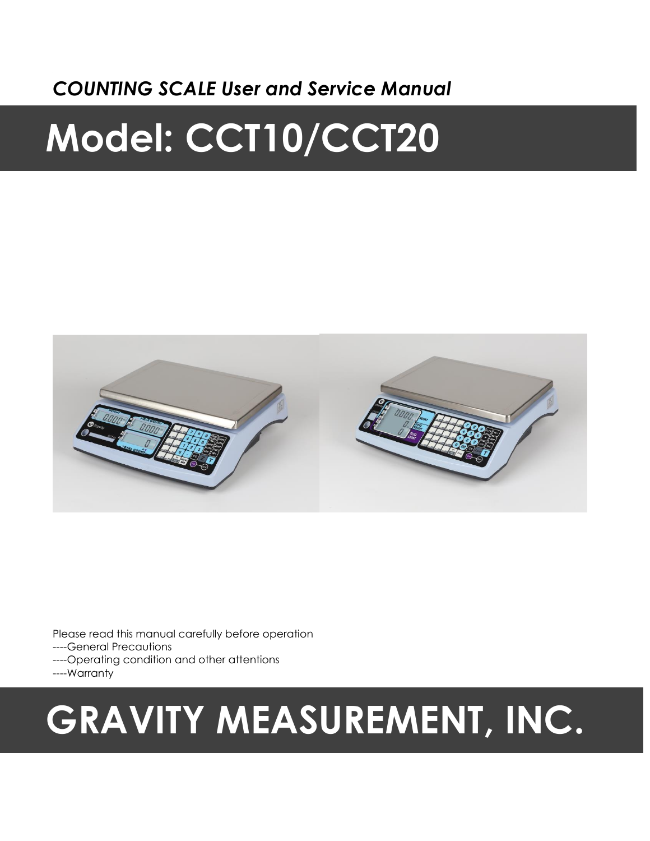# *COUNTING SCALE User and Service Manual*

# **Model: CCT10/CCT20**



Please read this manual carefully before operation ----General Precautions ----Operating condition and other attentions ----Warranty

# **GRAVITY MEASUREMENT, INC.**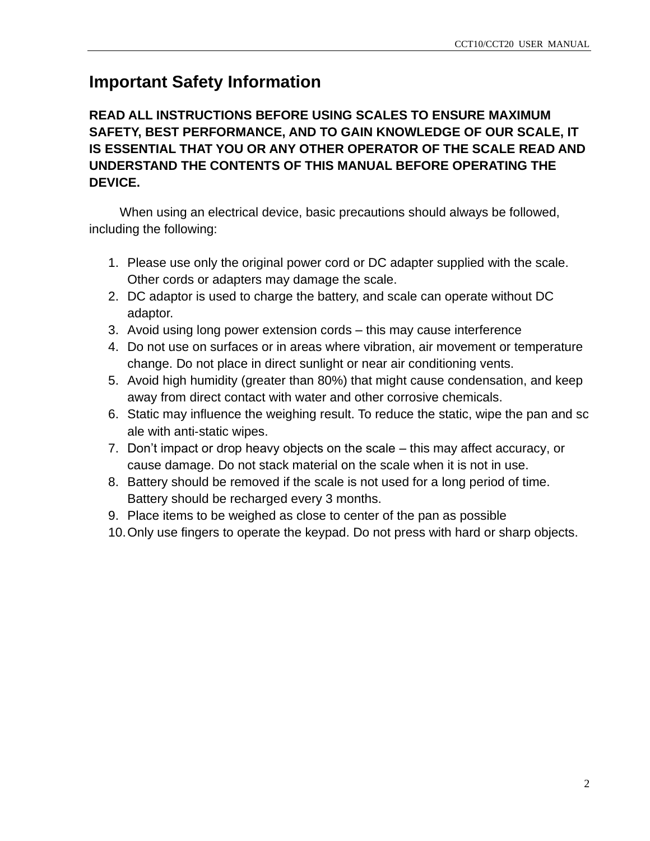# **Important Safety Information**

**READ ALL INSTRUCTIONS BEFORE USING SCALES TO ENSURE MAXIMUM SAFETY, BEST PERFORMANCE, AND TO GAIN KNOWLEDGE OF OUR SCALE, IT IS ESSENTIAL THAT YOU OR ANY OTHER OPERATOR OF THE SCALE READ AND UNDERSTAND THE CONTENTS OF THIS MANUAL BEFORE OPERATING THE DEVICE.**

When using an electrical device, basic precautions should always be followed, including the following:

- 1. Please use only the original power cord or DC adapter supplied with the scale. Other cords or adapters may damage the scale.
- 2. DC adaptor is used to charge the battery, and scale can operate without DC adaptor.
- 3. Avoid using long power extension cords this may cause interference
- 4. Do not use on surfaces or in areas where vibration, air movement or temperature change. Do not place in direct sunlight or near air conditioning vents.
- 5. Avoid high humidity (greater than 80%) that might cause condensation, and keep away from direct contact with water and other corrosive chemicals.
- 6. Static may influence the weighing result. To reduce the static, wipe the pan and sc ale with anti‐static wipes.
- 7. Don't impact or drop heavy objects on the scale this may affect accuracy, or cause damage. Do not stack material on the scale when it is not in use.
- 8. Battery should be removed if the scale is not used for a long period of time. Battery should be recharged every 3 months.
- 9. Place items to be weighed as close to center of the pan as possible
- 10.Only use fingers to operate the keypad. Do not press with hard or sharp objects.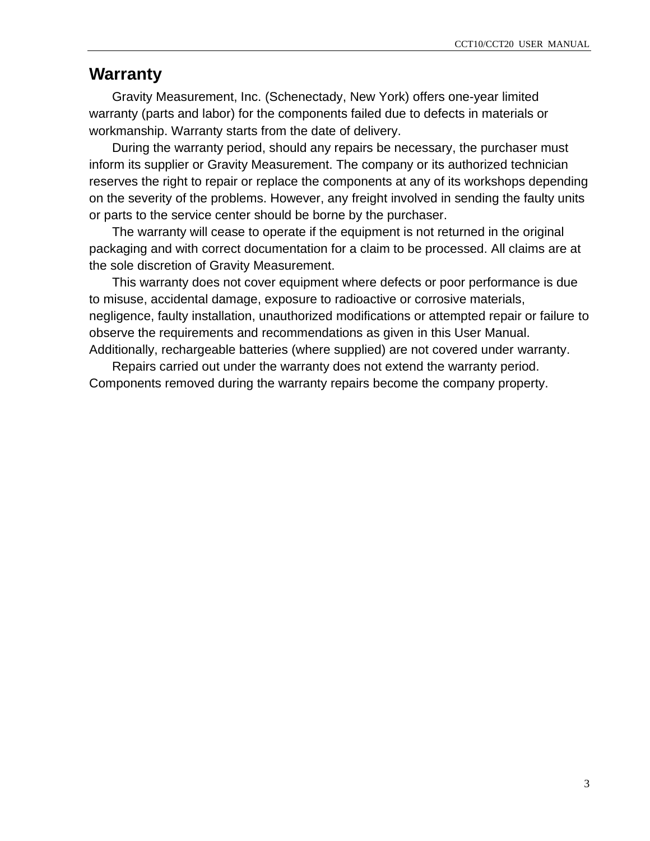## **Warranty**

Gravity Measurement, Inc. (Schenectady, New York) offers one-year limited warranty (parts and labor) for the components failed due to defects in materials or workmanship. Warranty starts from the date of delivery.

During the warranty period, should any repairs be necessary, the purchaser must inform its supplier or Gravity Measurement. The company or its authorized technician reserves the right to repair or replace the components at any of its workshops depending on the severity of the problems. However, any freight involved in sending the faulty units or parts to the service center should be borne by the purchaser.

The warranty will cease to operate if the equipment is not returned in the original packaging and with correct documentation for a claim to be processed. All claims are at the sole discretion of Gravity Measurement.

This warranty does not cover equipment where defects or poor performance is due to misuse, accidental damage, exposure to radioactive or corrosive materials, negligence, faulty installation, unauthorized modifications or attempted repair or failure to observe the requirements and recommendations as given in this User Manual. Additionally, rechargeable batteries (where supplied) are not covered under warranty.

Repairs carried out under the warranty does not extend the warranty period. Components removed during the warranty repairs become the company property.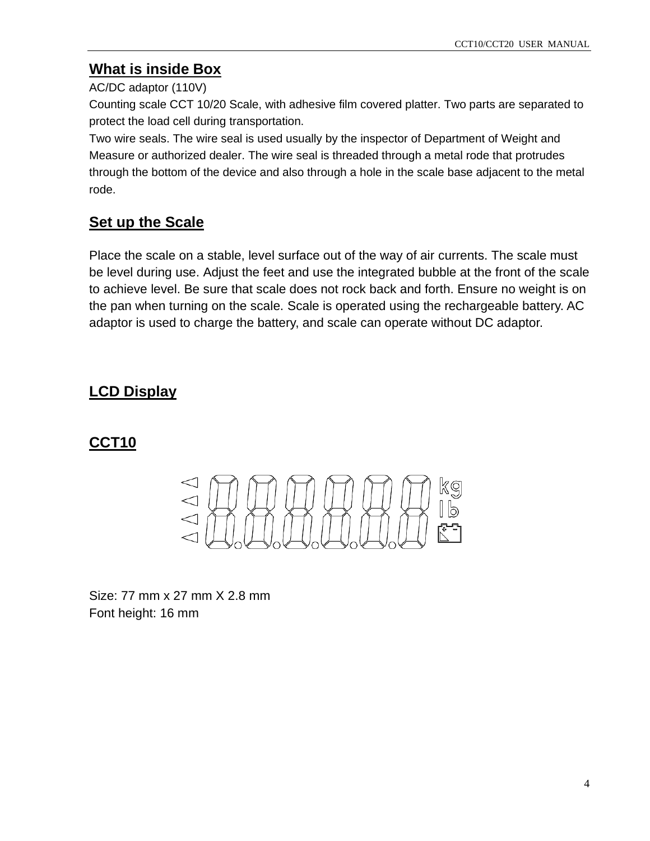### **What is inside Box**

#### AC/DC adaptor (110V)

Counting scale CCT 10/20 Scale, with adhesive film covered platter. Two parts are separated to protect the load cell during transportation.

Two wire seals. The wire seal is used usually by the inspector of Department of Weight and Measure or authorized dealer. The wire seal is threaded through a metal rode that protrudes through the bottom of the device and also through a hole in the scale base adjacent to the metal rode.

## **Set up the Scale**

Place the scale on a stable, level surface out of the way of air currents. The scale must be level during use. Adjust the feet and use the integrated bubble at the front of the scale to achieve level. Be sure that scale does not rock back and forth. Ensure no weight is on the pan when turning on the scale. Scale is operated using the rechargeable battery. AC adaptor is used to charge the battery, and scale can operate without DC adaptor.

## **LCD Display**

## **CCT10**



Size: 77 mm x 27 mm X 2.8 mm Font height: 16 mm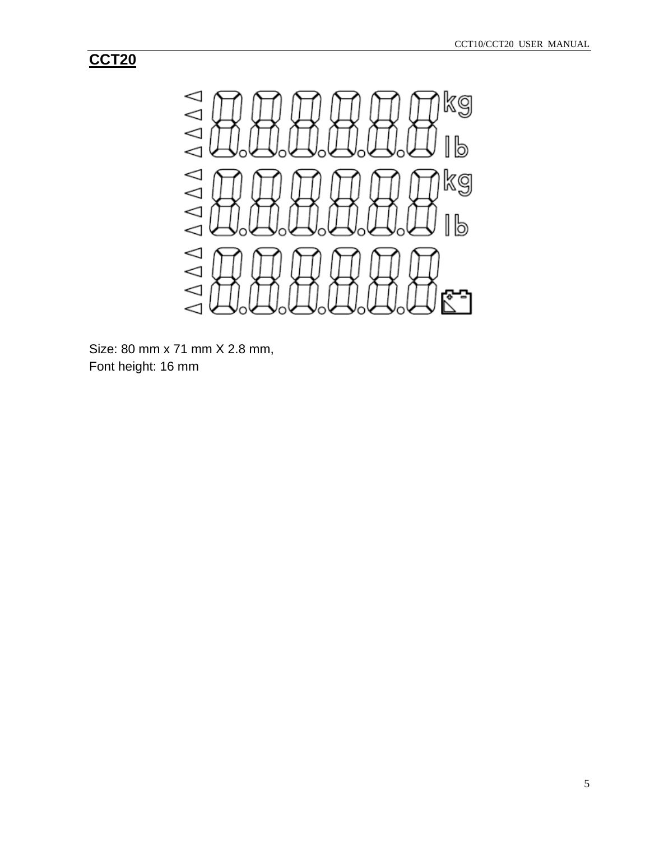## **CCT20**



Size: 80 mm x 71 mm X 2.8 mm, Font height: 16 mm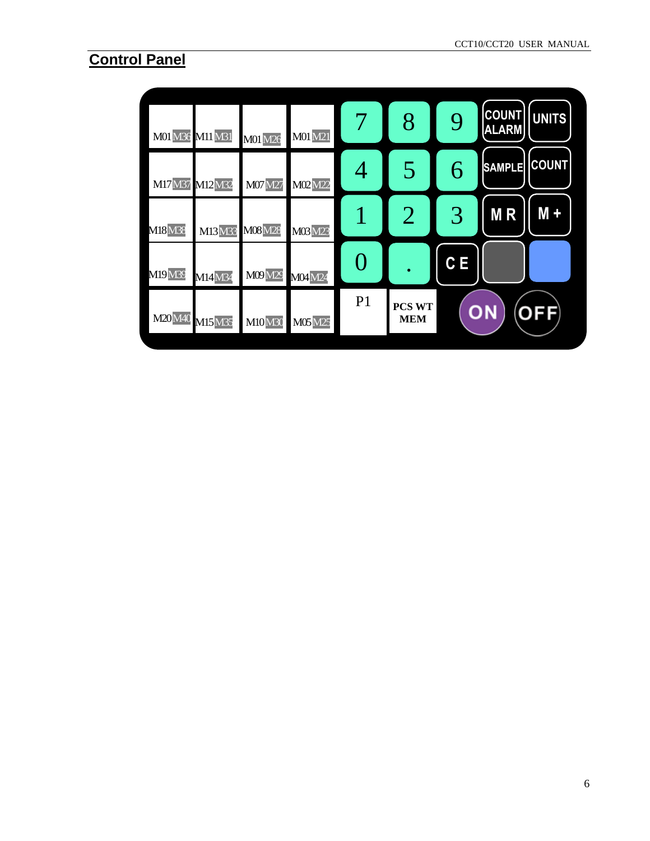# **Control Panel**

| 8<br>9<br>7<br>M01 M36 M11 M31<br><b>M01 M21</b><br><b>M01 M26</b>                         | <b>COUNT</b><br><b>UNITS</b><br><b>ALARM</b> |
|--------------------------------------------------------------------------------------------|----------------------------------------------|
| 5<br>4<br>M17M37 M12M32<br>M07 M27<br>M02M22                                               | <b>COUNT</b><br><b>SAMPLE</b><br>6           |
| 3<br>$\overline{2}$<br>1<br>M08 M28<br><b>M18</b> M38<br>M13M33<br>M03M23                  | <b>MR</b><br>$M +$                           |
| $\bigcap$<br>M19M39<br>M09M29<br>M14M34<br><b>M04</b> M24                                  | C E                                          |
| P <sub>1</sub><br><b>PCS WT</b><br>M20M40 M15M35<br><b>MEM</b><br><b>M10M30</b><br>M05 M25 | ON<br><b>OFF</b>                             |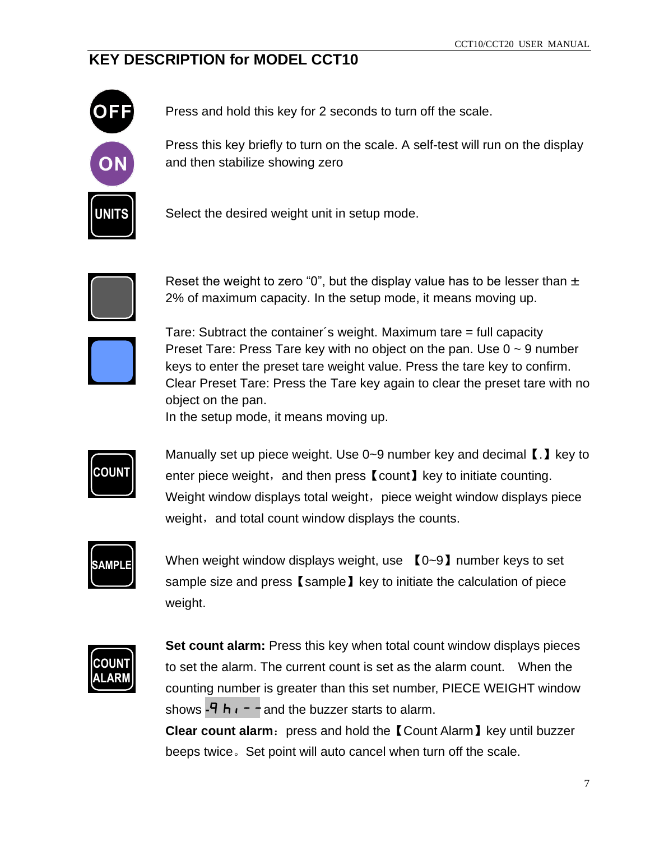## **KEY DESCRIPTION for MODEL CCT10**



Press and hold this key for 2 seconds to turn off the scale.

Press this key briefly to turn on the scale. A self-test will run on the display and then stabilize showing zero

Select the desired weight unit in setup mode.



Reset the weight to zero "0", but the display value has to be lesser than  $\pm$ 2% of maximum capacity. In the setup mode, it means moving up.



 Tare: Subtract the container´s weight. Maximum tare = full capacity Preset Tare: Press Tare key with no object on the pan. Use  $0 \sim 9$  number keys to enter the preset tare weight value. Press the tare key to confirm. Clear Preset Tare: Press the Tare key again to clear the preset tare with no object on the pan.

In the setup mode, it means moving up.

**COUN** 

Manually set up piece weight. Use 0~9 number key and decimal【.】key to enter piece weight, and then press  $\alpha$  count  $\alpha$  key to initiate counting. Weight window displays total weight, piece weight window displays piece weight, and total count window displays the counts.

$$
\fbox{Sample}
$$

When weight window displays weight, use  $\{0-9\}$  number keys to set sample size and press [sample] key to initiate the calculation of piece weight.



**Set count alarm:** Press this key when total count window displays pieces to set the alarm. The current count is set as the alarm count. When the counting number is greater than this set number, PIECE WEIGHT window shows  $-9 h + -$  and the buzzer starts to alarm.

**Clear count alarm:** press and hold the 【Count Alarm】key until buzzer beeps twice。Set point will auto cancel when turn off the scale.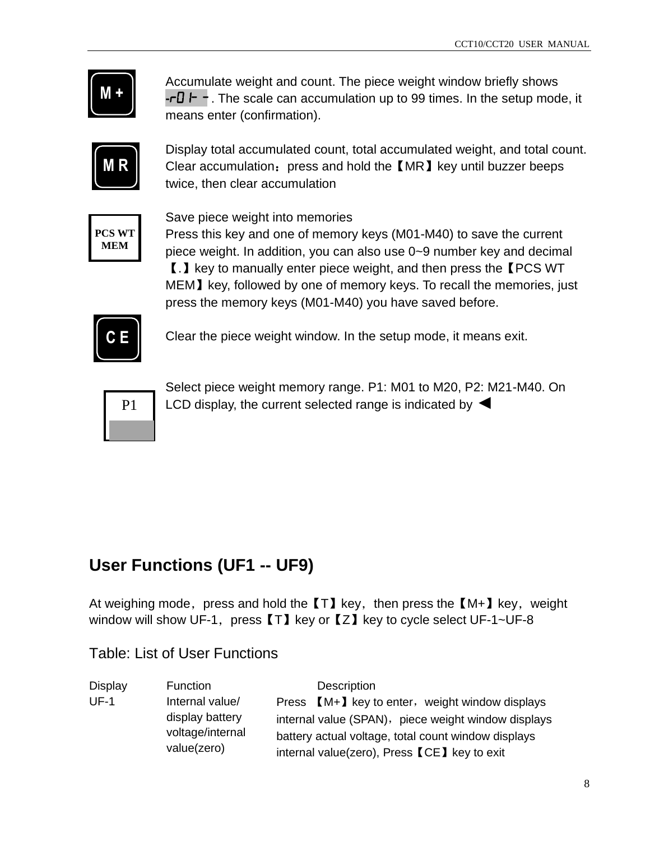| - - |  |
|-----|--|
|     |  |

Accumulate weight and count. The piece weight window briefly shows **-**r01-- -- . The scale can accumulation up to 99 times. In the setup mode, it means enter (confirmation).



Display total accumulated count, total accumulated weight, and total count. Clear accumulation: press and hold the 【MR】key until buzzer beeps twice, then clear accumulation



Save piece weight into memories

Press this key and one of memory keys (M01-M40) to save the current piece weight. In addition, you can also use 0~9 number key and decimal 【.】key to manually enter piece weight, and then press the【PCS WT MEM】key, followed by one of memory keys. To recall the memories, just press the memory keys (M01-M40) you have saved before.



Clear the piece weight window. In the setup mode, it means exit.



Select piece weight memory range. P1: M01 to M20, P2: M21-M40. On LCD display, the current selected range is indicated by <

# **User Functions (UF1 -- UF9)**

At weighing mode, press and hold the  $[T]$  key, then press the  $[M+]$  key, weight window will show UF-1, press  $[T]$  key or  $[Z]$  key to cycle select UF-1~UF-8

Table: List of User Functions

| Display | <b>Function</b>                 | Description                                         |
|---------|---------------------------------|-----------------------------------------------------|
| $UF-1$  | Internal value/                 | Press [M+] key to enter, weight window displays     |
|         | display battery                 | internal value (SPAN), piece weight window displays |
|         | voltage/internal<br>value(zero) | battery actual voltage, total count window displays |
|         |                                 | internal value(zero), Press [CE] key to exit        |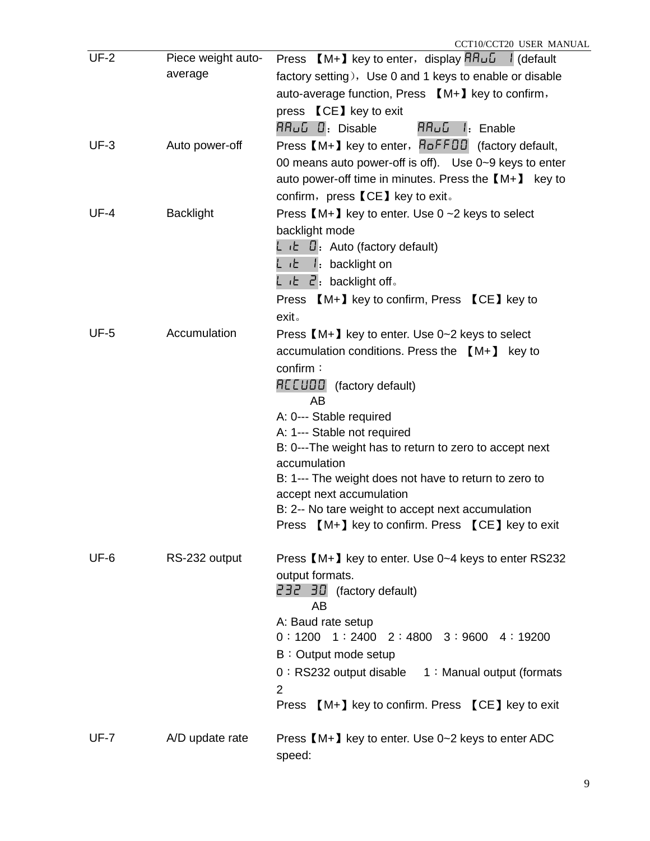| $UF-2$      | Piece weight auto- | Press $[M+]$ key to enter, display $HH\_\_\_\$ / (default                         |
|-------------|--------------------|-----------------------------------------------------------------------------------|
|             | average            | factory setting), Use 0 and 1 keys to enable or disable                           |
|             |                    | auto-average function, Press [M+] key to confirm,                                 |
|             |                    | press <b>[CE]</b> key to exit                                                     |
|             |                    | RRUG D: Disable<br>RRUG I: Enable                                                 |
| $UF-3$      | Auto power-off     | Press [M+] key to enter, RoFFDD (factory default,                                 |
|             |                    | 00 means auto power-off is off). Use 0~9 keys to enter                            |
|             |                    | auto power-off time in minutes. Press the $[M+]$ key to                           |
|             |                    | confirm, press 【CE】 key to exit。                                                  |
| $UF-4$      | <b>Backlight</b>   | Press $[M+]$ key to enter. Use $0 \sim 2$ keys to select                          |
|             |                    | backlight mode                                                                    |
|             |                    | L $E$ D: Auto (factory default)                                                   |
|             |                    | L <sub>i</sub> t I: backlight on                                                  |
|             |                    | L $\iota$ E $\vec{c}$ backlight off.                                              |
|             |                    | Press [M+] key to confirm, Press [CE] key to                                      |
|             |                    | exit.                                                                             |
| $UF-5$      | Accumulation       | Press [M+] key to enter. Use 0~2 keys to select                                   |
|             |                    | accumulation conditions. Press the $[M+]$ key to                                  |
|             |                    | confirm:                                                                          |
|             |                    | REEUDD (factory default)<br>AB                                                    |
|             |                    | A: 0--- Stable required                                                           |
|             |                    | A: 1--- Stable not required                                                       |
|             |                    | B: 0---The weight has to return to zero to accept next<br>accumulation            |
|             |                    | B: 1--- The weight does not have to return to zero to<br>accept next accumulation |
|             |                    | B: 2-- No tare weight to accept next accumulation                                 |
|             |                    | Press [M+] key to confirm. Press [CE] key to exit                                 |
| UF-6        | RS-232 output      | Press [M+] key to enter. Use 0~4 keys to enter RS232                              |
|             |                    | output formats.                                                                   |
|             |                    | 232 30 (factory default)<br>AB                                                    |
|             |                    | A: Baud rate setup                                                                |
|             |                    | $0:1200$ 1 : 2400 2 : 4800 3 : 9600 4 : 19200                                     |
|             |                    | B: Output mode setup                                                              |
|             |                    | 0: RS232 output disable 1: Manual output (formats                                 |
|             |                    | $\overline{2}$                                                                    |
|             |                    | Press [M+] key to confirm. Press [CE] key to exit                                 |
| <b>UF-7</b> | A/D update rate    | Press [M+] key to enter. Use 0~2 keys to enter ADC<br>speed:                      |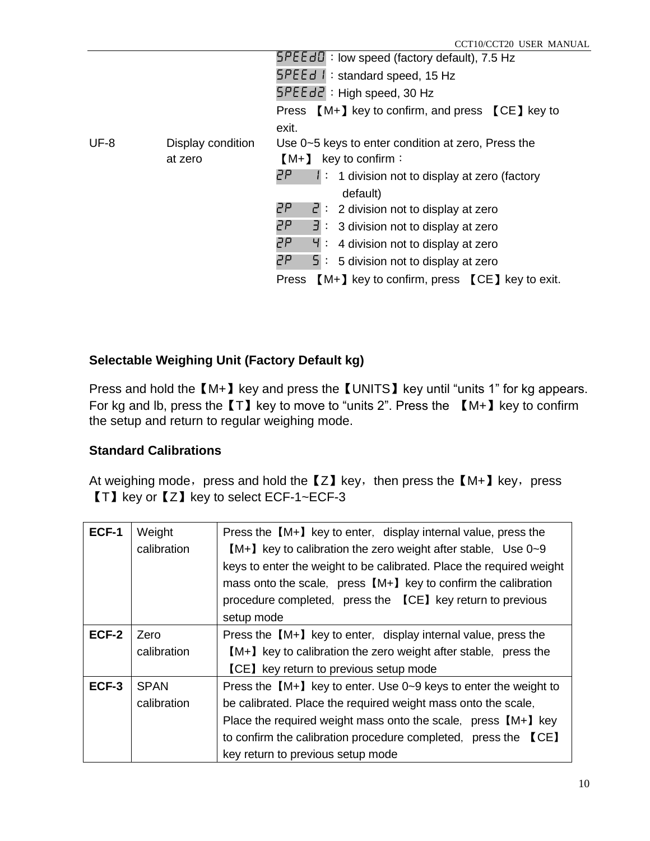|        |                   | $5PEEd1$ : low speed (factory default), 7.5 Hz                   |
|--------|-------------------|------------------------------------------------------------------|
|        |                   | $SPEEd$ 1: standard speed, 15 Hz                                 |
|        |                   | $SPEEd2$ : High speed, 30 Hz                                     |
|        |                   | Press $[M+]$ key to confirm, and press $[CE]$ key to             |
|        |                   | exit.                                                            |
| $UF-8$ | Display condition | Use 0~5 keys to enter condition at zero, Press the               |
|        | at zero           | key to confirm:<br>$[M+]$                                        |
|        |                   | 2P.<br>$\mathsf{I}$ : 1 division not to display at zero (factory |
|        |                   | default)                                                         |
|        |                   | 2P.<br>$\vec{c}$ : 2 division not to display at zero             |
|        |                   | 2P.<br>$\exists$ : 3 division not to display at zero             |
|        |                   | 2P.<br>$\frac{1}{2}$ : 4 division not to display at zero         |
|        |                   | 2P.<br>$\overline{5}$ : 5 division not to display at zero        |
|        |                   | [M+] key to confirm, press [CE] key to exit.<br>Press            |
|        |                   |                                                                  |

#### **Selectable Weighing Unit (Factory Default kg)**

Press and hold the  $[M+]$  key and press the [UNITS] key until "units 1" for kg appears. For kg and lb, press the  $[T]$  key to move to "units 2". Press the  $[M+]$  key to confirm the setup and return to regular weighing mode.

#### **Standard Calibrations**

At weighing mode, press and hold the  $Z$  key, then press the  $[M+]$  key, press 【T】key or【Z】key to select ECF-1~ECF-3

| ECF-1 | Weight<br>calibration | Press the $[M+]$ key to enter, display internal value, press the<br>[M+] key to calibration the zero weight after stable, Use 0~9<br>keys to enter the weight to be calibrated. Place the required weight<br>mass onto the scale, press [M+] key to confirm the calibration |
|-------|-----------------------|-----------------------------------------------------------------------------------------------------------------------------------------------------------------------------------------------------------------------------------------------------------------------------|
|       |                       | procedure completed, press the [CE] key return to previous<br>setup mode                                                                                                                                                                                                    |
|       |                       |                                                                                                                                                                                                                                                                             |
| ECF-2 | Zero                  | Press the [M+] key to enter, display internal value, press the                                                                                                                                                                                                              |
|       | calibration           | [M+] key to calibration the zero weight after stable, press the                                                                                                                                                                                                             |
|       |                       | <b>[CE]</b> key return to previous setup mode                                                                                                                                                                                                                               |
| ECF-3 | <b>SPAN</b>           | Press the $[M+]$ key to enter. Use 0~9 keys to enter the weight to                                                                                                                                                                                                          |
|       | calibration           | be calibrated. Place the required weight mass onto the scale,                                                                                                                                                                                                               |
|       |                       | Place the required weight mass onto the scale, press $[M+]$ key                                                                                                                                                                                                             |
|       |                       | to confirm the calibration procedure completed, press the [CE]                                                                                                                                                                                                              |
|       |                       | key return to previous setup mode                                                                                                                                                                                                                                           |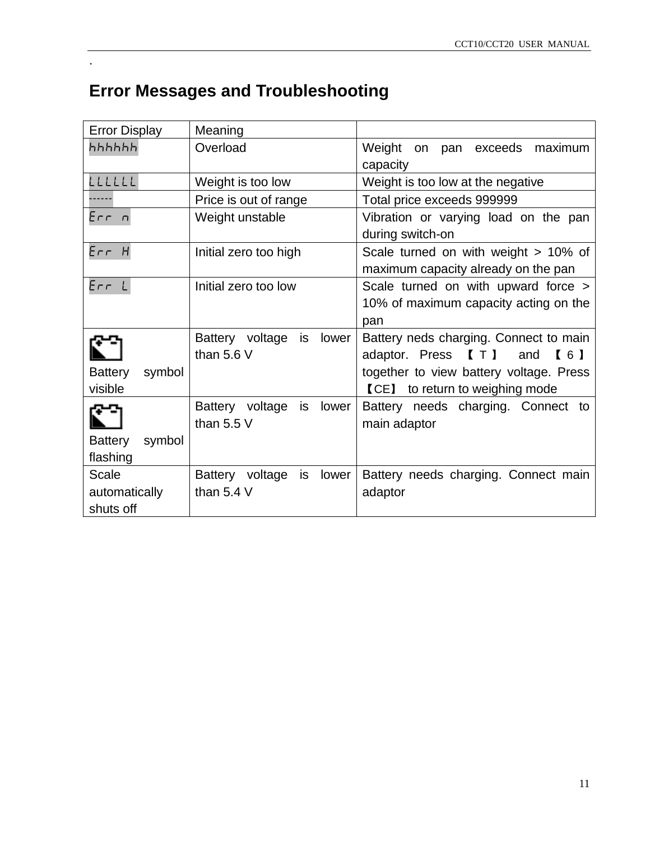# **Error Messages and Troubleshooting**

.

| <b>Error Display</b>     | Meaning                        |                                         |
|--------------------------|--------------------------------|-----------------------------------------|
| հհհհհհ                   | Overload                       | Weight<br>on pan exceeds<br>maximum     |
|                          |                                | capacity                                |
| LLLLLL                   | Weight is too low              | Weight is too low at the negative       |
|                          | Price is out of range          | Total price exceeds 999999              |
| Err n                    | Weight unstable                | Vibration or varying load on the pan    |
|                          |                                | during switch-on                        |
| $Err$ H                  | Initial zero too high          | Scale turned on with weight > 10% of    |
|                          |                                | maximum capacity already on the pan     |
| ErrL                     | Initial zero too low           | Scale turned on with upward force >     |
|                          |                                | 10% of maximum capacity acting on the   |
|                          |                                | pan                                     |
|                          | Battery voltage<br>lower<br>is | Battery neds charging. Connect to main  |
|                          | than $5.6V$                    | adaptor. Press<br>[T]<br>and<br>[6]     |
| <b>Battery</b><br>symbol |                                | together to view battery voltage. Press |
| visible                  |                                | <b>[CE]</b> to return to weighing mode  |
|                          | Battery voltage<br>lower<br>is | Battery needs charging. Connect to      |
|                          | than $5.5V$                    | main adaptor                            |
| <b>Battery</b><br>symbol |                                |                                         |
| flashing                 |                                |                                         |
| Scale                    | Battery voltage<br>lower<br>is | Battery needs charging. Connect main    |
| automatically            | than $5.4$ V                   | adaptor                                 |
| shuts off                |                                |                                         |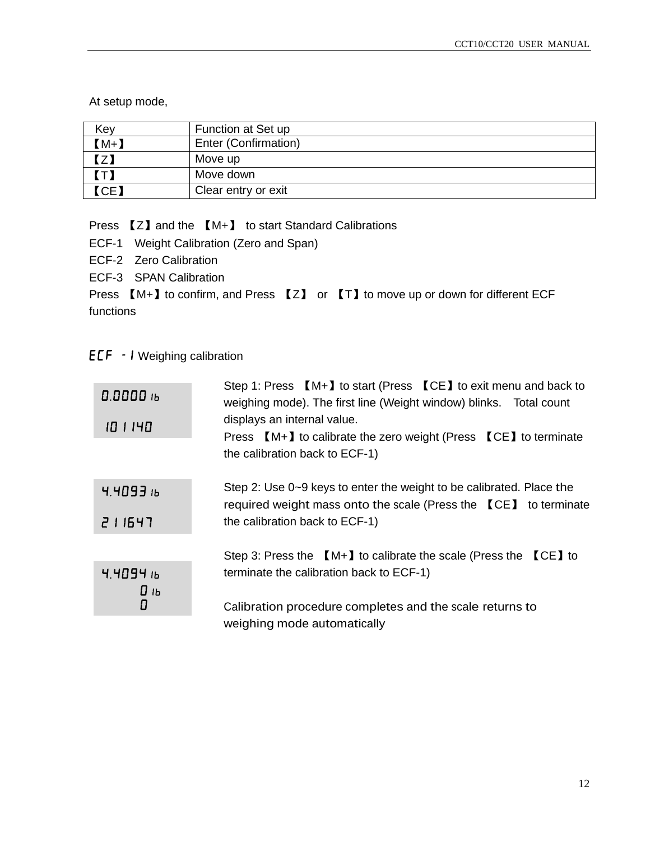At setup mode,

| Key    | Function at Set up   |
|--------|----------------------|
| $[M+]$ | Enter (Confirmation) |
| $z$    | Move up              |
| (T)    | Move down            |
| ICE    | Clear entry or exit  |

Press 【Z】and the 【M+】 to start Standard Calibrations

- ECF-1 Weight Calibration (Zero and Span)
- ECF-2 Zero Calibration
- ECF-3 SPAN Calibration

Press  $[M+]$  to confirm, and Press  $[Z]$  or  $[T]$  to move up or down for different ECF functions

#### ECF - 1 Weighing calibration

| 0.0000 16<br>10 1 140 | Step 1: Press $[M+]$ to start (Press $[CE]$ to exit menu and back to<br>weighing mode). The first line (Weight window) blinks. Total count<br>displays an internal value.<br>Press $[M+]$ to calibrate the zero weight (Press $ICE$ ) to terminate<br>the calibration back to ECF-1) |
|-----------------------|--------------------------------------------------------------------------------------------------------------------------------------------------------------------------------------------------------------------------------------------------------------------------------------|
| $4.4093$ ib<br>211547 | Step 2: Use 0~9 keys to enter the weight to be calibrated. Place the<br>required weight mass onto the scale (Press the [CE] to terminate<br>the calibration back to ECF-1)                                                                                                           |
|                       | Step 3: Press the $[M+]$ to calibrate the scale (Press the $ICE$ ) to                                                                                                                                                                                                                |
| 4.4094 љ<br>0 њ       | terminate the calibration back to ECF-1)                                                                                                                                                                                                                                             |
| 0                     | Calibration procedure completes and the scale returns to<br>weighing mode automatically                                                                                                                                                                                              |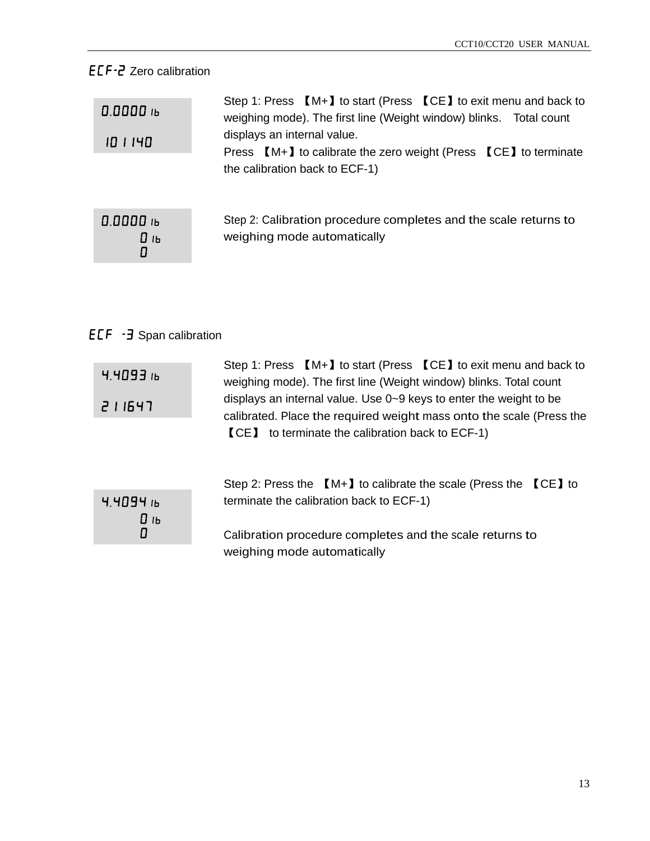### ECF-2 Zero calibration

| 0.0000 16<br>10 1 140 | Step 1: Press [M+] to start (Press [CE] to exit menu and back to<br>weighing mode). The first line (Weight window) blinks. Total count<br>displays an internal value.<br>Press $[M+]$ to calibrate the zero weight (Press $ICE$ ) to terminate<br>the calibration back to ECF-1) |
|-----------------------|----------------------------------------------------------------------------------------------------------------------------------------------------------------------------------------------------------------------------------------------------------------------------------|
| 0.0000 16<br>0 њ<br>0 | Step 2: Calibration procedure completes and the scale returns to<br>weighing mode automatically                                                                                                                                                                                  |

## ECF -3 Span calibration

| 4.4093i                        | Step 1: Press [M+] to start (Press [CE] to exit menu and back to<br>weighing mode). The first line (Weight window) blinks. Total count                                                                |
|--------------------------------|-------------------------------------------------------------------------------------------------------------------------------------------------------------------------------------------------------|
| 211547                         | displays an internal value. Use 0~9 keys to enter the weight to be<br>calibrated. Place the required weight mass onto the scale (Press the<br><b>[CE]</b> to terminate the calibration back to ECF-1) |
|                                | Step 2: Press the $[M+]$ to calibrate the scale (Press the $ICE$ ) to                                                                                                                                 |
| $4.4094$ ib<br>$\mathbf{D}$ іь | terminate the calibration back to ECF-1)                                                                                                                                                              |
| 0                              | Calibration procedure completes and the scale returns to                                                                                                                                              |

weighing mode automatically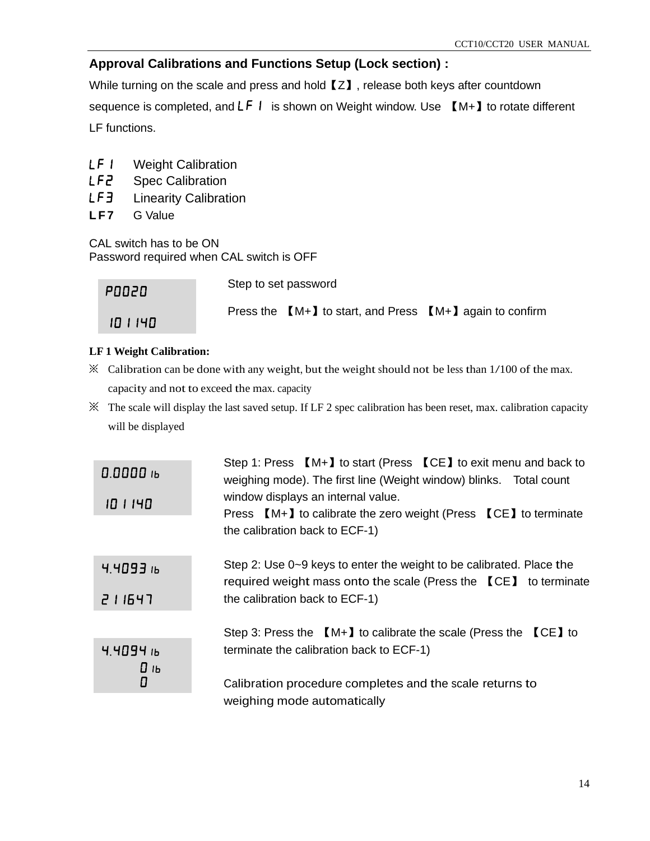#### **Approval Calibrations and Functions Setup (Lock section) :**

While turning on the scale and press and hold [Z], release both keys after countdown sequence is completed, and  $LF I$  is shown on Weight window. Use  $[M+]$  to rotate different LF functions.

- LF I Weight Calibration
- LF2 Spec Calibration
- LF3 Linearity Calibration
- LF7 G Value

CAL switch has to be ON Password required when CAL switch is OFF

**PO020** 

Step to set password

101140

Press the 【M+】to start, and Press 【M+】again to confirm

#### **LF 1 Weight Calibration:**

- ※ Calibration can be done with any weight, but the weight should not be less than 1/100 of the max. capacity and not to exceed the max. capacity
- $\mathbb X$  The scale will display the last saved setup. If LF 2 spec calibration has been reset, max. calibration capacity will be displayed

| 0.0000 16<br>10 1 140 | Step 1: Press $[M+]$ to start (Press $[CE]$ to exit menu and back to<br>weighing mode). The first line (Weight window) blinks. Total count<br>window displays an internal value.<br>Press [M+] to calibrate the zero weight (Press [CE] to terminate<br>the calibration back to ECF-1) |
|-----------------------|----------------------------------------------------------------------------------------------------------------------------------------------------------------------------------------------------------------------------------------------------------------------------------------|
| $4.4093$ ib<br>211547 | Step 2: Use 0~9 keys to enter the weight to be calibrated. Place the<br>required weight mass onto the scale (Press the [CE] to terminate<br>the calibration back to ECF-1)                                                                                                             |
|                       | Step 3: Press the $[M+]$ to calibrate the scale (Press the $[CE]$ to                                                                                                                                                                                                                   |
| 4.4094h<br>0 њ<br>0   | terminate the calibration back to ECF-1)<br>Calibration procedure completes and the scale returns to                                                                                                                                                                                   |
|                       | weighing mode automatically                                                                                                                                                                                                                                                            |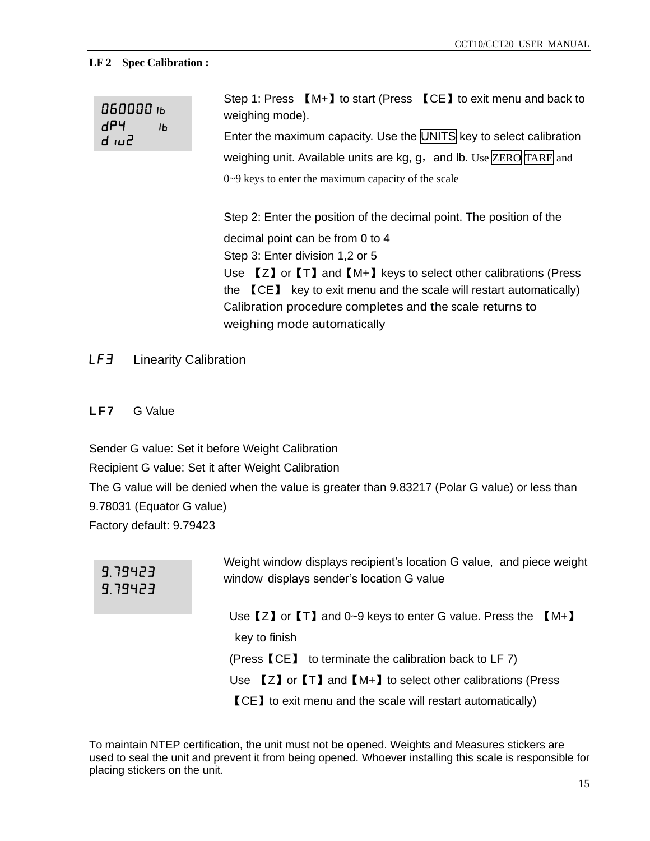#### **LF 2 Spec Calibration :**

| 060000 ib<br>dP4<br>IЬ<br>5ui b | Step 1: Press $[M+]$ to start (Press $[CE]$ to exit menu and back to<br>weighing mode).                                               |
|---------------------------------|---------------------------------------------------------------------------------------------------------------------------------------|
|                                 | Enter the maximum capacity. Use the UNITS key to select calibration                                                                   |
|                                 | weighing unit. Available units are $kg$ , $g$ , and lb. Use ZERO TARE and                                                             |
|                                 | $0\nu$ keys to enter the maximum capacity of the scale                                                                                |
|                                 | Step 2: Enter the position of the decimal point. The position of the                                                                  |
|                                 | decimal point can be from 0 to 4                                                                                                      |
|                                 | Step 3: Enter division 1,2 or 5                                                                                                       |
|                                 | Use $\llbracket Z \rrbracket$ or $\llbracket \top \rrbracket$ and $\llbracket M+ \rrbracket$ keys to select other calibrations (Press |
|                                 | the $\blacksquare$ CE $\blacksquare$ key to exit menu and the scale will restart automatically)                                       |
|                                 | Calibration procedure completes and the scale returns to                                                                              |
|                                 | weighing mode automatically                                                                                                           |

LF3 Linearity Calibration

**LF7** G Value

Sender G value: Set it before Weight Calibration Recipient G value: Set it after Weight Calibration The G value will be denied when the value is greater than 9.83217 (Polar G value) or less than 9.78031 (Equator G value) Factory default: 9.79423

### 9.79423 9.79423

Weight window displays recipient's location G value, and piece weight window displays sender's location G value

Use  $[Z]$  or  $[T]$  and 0~9 keys to enter G value. Press the  $[M+]$ key to finish (Press【CE】 to terminate the calibration back to LF 7) Use 【Z】or【T】and【M+】to select other calibrations (Press 【CE】to exit menu and the scale will restart automatically)

To maintain NTEP certification, the unit must not be opened. Weights and Measures stickers are used to seal the unit and prevent it from being opened. Whoever installing this scale is responsible for placing stickers on the unit.